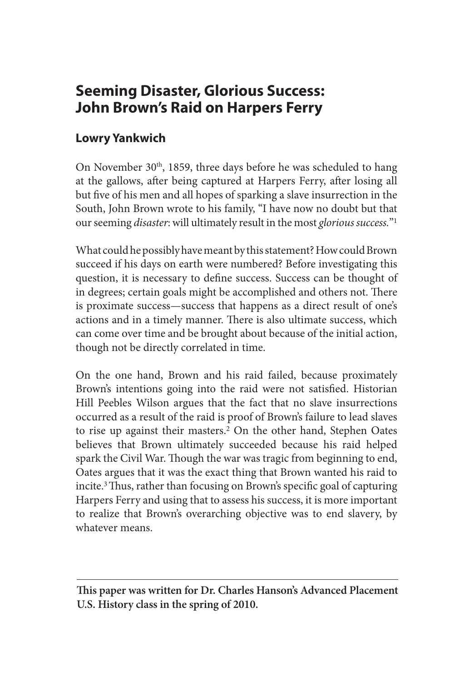# **Seeming Disaster, Glorious Success: John Brown's Raid on Harpers Ferry**

# **Lowry Yankwich**

On November 30<sup>th</sup>, 1859, three days before he was scheduled to hang at the gallows, after being captured at Harpers Ferry, after losing all but five of his men and all hopes of sparking a slave insurrection in the South, John Brown wrote to his family, "I have now no doubt but that our seeming *disaster*: will ultimately result in the most *glorious success.*"1

What could he possibly have meant by this statement? How could Brown succeed if his days on earth were numbered? Before investigating this question, it is necessary to define success. Success can be thought of in degrees; certain goals might be accomplished and others not. There is proximate success—success that happens as a direct result of one's actions and in a timely manner. There is also ultimate success, which can come over time and be brought about because of the initial action, though not be directly correlated in time.

On the one hand, Brown and his raid failed, because proximately Brown's intentions going into the raid were not satisfied. Historian Hill Peebles Wilson argues that the fact that no slave insurrections occurred as a result of the raid is proof of Brown's failure to lead slaves to rise up against their masters.2 On the other hand, Stephen Oates believes that Brown ultimately succeeded because his raid helped spark the Civil War. Though the war was tragic from beginning to end, Oates argues that it was the exact thing that Brown wanted his raid to incite.3 Thus, rather than focusing on Brown's specific goal of capturing Harpers Ferry and using that to assess his success, it is more important to realize that Brown's overarching objective was to end slavery, by whatever means.

**This paper was written for Dr. Charles Hanson's Advanced Placement U.S. History class in the spring of 2010.**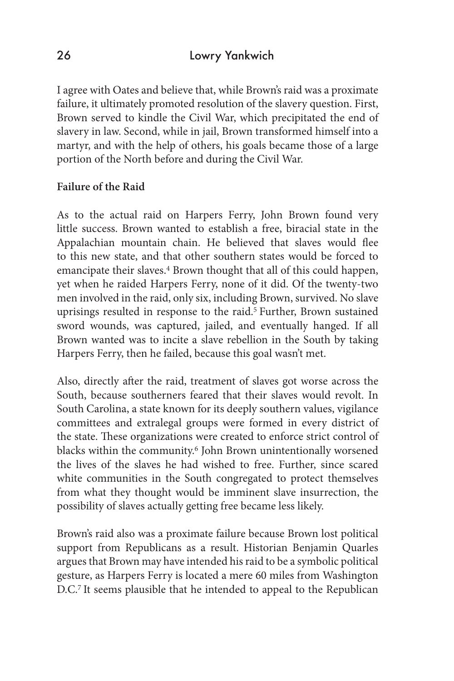I agree with Oates and believe that, while Brown's raid was a proximate failure, it ultimately promoted resolution of the slavery question. First, Brown served to kindle the Civil War, which precipitated the end of slavery in law. Second, while in jail, Brown transformed himself into a martyr, and with the help of others, his goals became those of a large portion of the North before and during the Civil War.

### **Failure of the Raid**

As to the actual raid on Harpers Ferry, John Brown found very little success. Brown wanted to establish a free, biracial state in the Appalachian mountain chain. He believed that slaves would flee to this new state, and that other southern states would be forced to emancipate their slaves.4 Brown thought that all of this could happen, yet when he raided Harpers Ferry, none of it did. Of the twenty-two men involved in the raid, only six, including Brown, survived. No slave uprisings resulted in response to the raid.5 Further, Brown sustained sword wounds, was captured, jailed, and eventually hanged. If all Brown wanted was to incite a slave rebellion in the South by taking Harpers Ferry, then he failed, because this goal wasn't met.

Also, directly after the raid, treatment of slaves got worse across the South, because southerners feared that their slaves would revolt. In South Carolina, a state known for its deeply southern values, vigilance committees and extralegal groups were formed in every district of the state. These organizations were created to enforce strict control of blacks within the community.<sup>6</sup> John Brown unintentionally worsened the lives of the slaves he had wished to free. Further, since scared white communities in the South congregated to protect themselves from what they thought would be imminent slave insurrection, the possibility of slaves actually getting free became less likely.

Brown's raid also was a proximate failure because Brown lost political support from Republicans as a result. Historian Benjamin Quarles argues that Brown may have intended his raid to be a symbolic political gesture, as Harpers Ferry is located a mere 60 miles from Washington D.C.7 It seems plausible that he intended to appeal to the Republican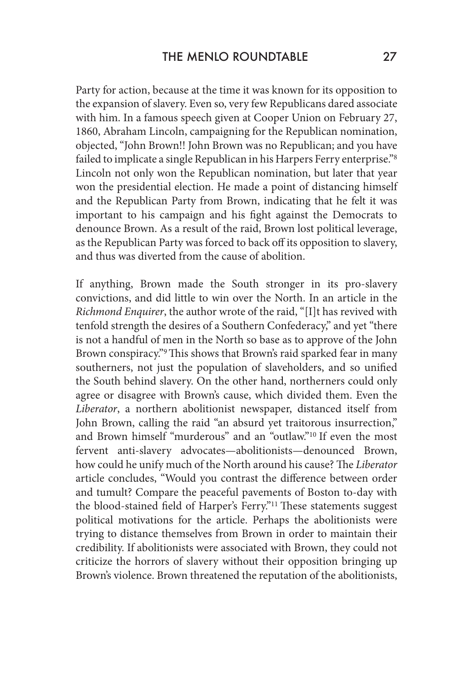Party for action, because at the time it was known for its opposition to the expansion of slavery. Even so, very few Republicans dared associate with him. In a famous speech given at Cooper Union on February 27, 1860, Abraham Lincoln, campaigning for the Republican nomination, objected, "John Brown!! John Brown was no Republican; and you have failed to implicate a single Republican in his Harpers Ferry enterprise."8 Lincoln not only won the Republican nomination, but later that year won the presidential election. He made a point of distancing himself and the Republican Party from Brown, indicating that he felt it was important to his campaign and his fight against the Democrats to denounce Brown. As a result of the raid, Brown lost political leverage, as the Republican Party was forced to back off its opposition to slavery, and thus was diverted from the cause of abolition.

If anything, Brown made the South stronger in its pro-slavery convictions, and did little to win over the North. In an article in the *Richmond Enquirer*, the author wrote of the raid, "[I]t has revived with tenfold strength the desires of a Southern Confederacy," and yet "there is not a handful of men in the North so base as to approve of the John Brown conspiracy."9 This shows that Brown's raid sparked fear in many southerners, not just the population of slaveholders, and so unified the South behind slavery. On the other hand, northerners could only agree or disagree with Brown's cause, which divided them. Even the *Liberator*, a northern abolitionist newspaper, distanced itself from John Brown, calling the raid "an absurd yet traitorous insurrection," and Brown himself "murderous" and an "outlaw."10 If even the most fervent anti-slavery advocates—abolitionists—denounced Brown, how could he unify much of the North around his cause? The *Liberator*  article concludes, "Would you contrast the difference between order and tumult? Compare the peaceful pavements of Boston to-day with the blood-stained field of Harper's Ferry."11 These statements suggest political motivations for the article. Perhaps the abolitionists were trying to distance themselves from Brown in order to maintain their credibility. If abolitionists were associated with Brown, they could not criticize the horrors of slavery without their opposition bringing up Brown's violence. Brown threatened the reputation of the abolitionists,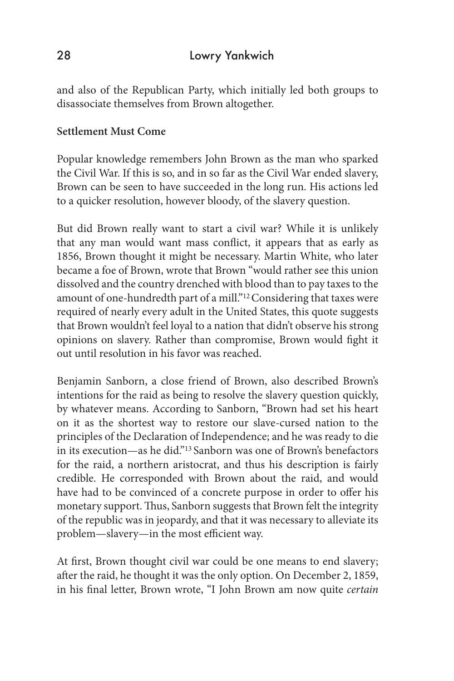and also of the Republican Party, which initially led both groups to disassociate themselves from Brown altogether.

### **Settlement Must Come**

Popular knowledge remembers John Brown as the man who sparked the Civil War. If this is so, and in so far as the Civil War ended slavery, Brown can be seen to have succeeded in the long run. His actions led to a quicker resolution, however bloody, of the slavery question.

But did Brown really want to start a civil war? While it is unlikely that any man would want mass conflict, it appears that as early as 1856, Brown thought it might be necessary. Martin White, who later became a foe of Brown, wrote that Brown "would rather see this union dissolved and the country drenched with blood than to pay taxes to the amount of one-hundredth part of a mill."12 Considering that taxes were required of nearly every adult in the United States, this quote suggests that Brown wouldn't feel loyal to a nation that didn't observe his strong opinions on slavery. Rather than compromise, Brown would fight it out until resolution in his favor was reached.

Benjamin Sanborn, a close friend of Brown, also described Brown's intentions for the raid as being to resolve the slavery question quickly, by whatever means. According to Sanborn, "Brown had set his heart on it as the shortest way to restore our slave-cursed nation to the principles of the Declaration of Independence; and he was ready to die in its execution—as he did."13 Sanborn was one of Brown's benefactors for the raid, a northern aristocrat, and thus his description is fairly credible. He corresponded with Brown about the raid, and would have had to be convinced of a concrete purpose in order to offer his monetary support. Thus, Sanborn suggests that Brown felt the integrity of the republic was in jeopardy, and that it was necessary to alleviate its problem—slavery—in the most efficient way.

At first, Brown thought civil war could be one means to end slavery; after the raid, he thought it was the only option. On December 2, 1859, in his final letter, Brown wrote, "I John Brown am now quite *certain*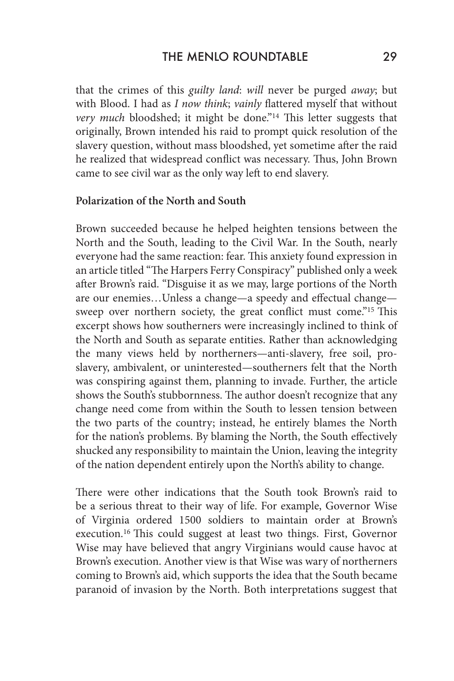that the crimes of this *guilty land*: *will* never be purged *away*; but with Blood. I had as *I now think*; *vainly* flattered myself that without *very much* bloodshed; it might be done."<sup>14</sup> This letter suggests that originally, Brown intended his raid to prompt quick resolution of the slavery question, without mass bloodshed, yet sometime after the raid he realized that widespread conflict was necessary. Thus, John Brown came to see civil war as the only way left to end slavery.

#### **Polarization of the North and South**

Brown succeeded because he helped heighten tensions between the North and the South, leading to the Civil War. In the South, nearly everyone had the same reaction: fear. This anxiety found expression in an article titled "The Harpers Ferry Conspiracy" published only a week after Brown's raid. "Disguise it as we may, large portions of the North are our enemies…Unless a change—a speedy and effectual change sweep over northern society, the great conflict must come."<sup>15</sup> This excerpt shows how southerners were increasingly inclined to think of the North and South as separate entities. Rather than acknowledging the many views held by northerners—anti-slavery, free soil, proslavery, ambivalent, or uninterested—southerners felt that the North was conspiring against them, planning to invade. Further, the article shows the South's stubbornness. The author doesn't recognize that any change need come from within the South to lessen tension between the two parts of the country; instead, he entirely blames the North for the nation's problems. By blaming the North, the South effectively shucked any responsibility to maintain the Union, leaving the integrity of the nation dependent entirely upon the North's ability to change.

There were other indications that the South took Brown's raid to be a serious threat to their way of life. For example, Governor Wise of Virginia ordered 1500 soldiers to maintain order at Brown's execution.16 This could suggest at least two things. First, Governor Wise may have believed that angry Virginians would cause havoc at Brown's execution. Another view is that Wise was wary of northerners coming to Brown's aid, which supports the idea that the South became paranoid of invasion by the North. Both interpretations suggest that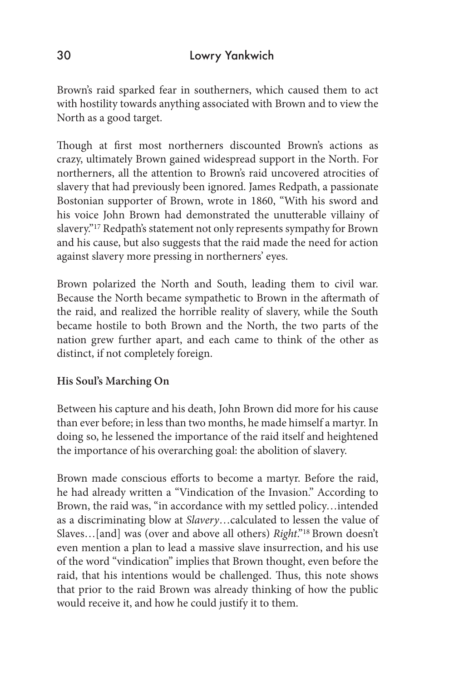Brown's raid sparked fear in southerners, which caused them to act with hostility towards anything associated with Brown and to view the North as a good target.

Though at first most northerners discounted Brown's actions as crazy, ultimately Brown gained widespread support in the North. For northerners, all the attention to Brown's raid uncovered atrocities of slavery that had previously been ignored. James Redpath, a passionate Bostonian supporter of Brown, wrote in 1860, "With his sword and his voice John Brown had demonstrated the unutterable villainy of slavery."17 Redpath's statement not only represents sympathy for Brown and his cause, but also suggests that the raid made the need for action against slavery more pressing in northerners' eyes.

Brown polarized the North and South, leading them to civil war. Because the North became sympathetic to Brown in the aftermath of the raid, and realized the horrible reality of slavery, while the South became hostile to both Brown and the North, the two parts of the nation grew further apart, and each came to think of the other as distinct, if not completely foreign.

## **His Soul's Marching On**

Between his capture and his death, John Brown did more for his cause than ever before; in less than two months, he made himself a martyr. In doing so, he lessened the importance of the raid itself and heightened the importance of his overarching goal: the abolition of slavery.

Brown made conscious efforts to become a martyr. Before the raid, he had already written a "Vindication of the Invasion." According to Brown, the raid was, "in accordance with my settled policy…intended as a discriminating blow at *Slavery*…calculated to lessen the value of Slaves…[and] was (over and above all others) *Right*."18 Brown doesn't even mention a plan to lead a massive slave insurrection, and his use of the word "vindication" implies that Brown thought, even before the raid, that his intentions would be challenged. Thus, this note shows that prior to the raid Brown was already thinking of how the public would receive it, and how he could justify it to them.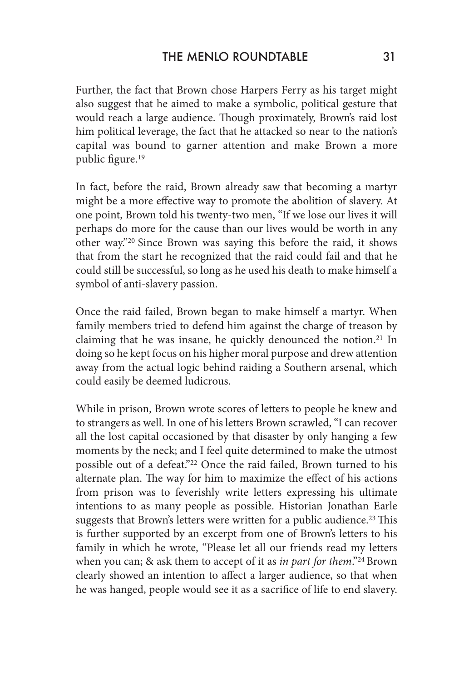Further, the fact that Brown chose Harpers Ferry as his target might also suggest that he aimed to make a symbolic, political gesture that would reach a large audience. Though proximately, Brown's raid lost him political leverage, the fact that he attacked so near to the nation's capital was bound to garner attention and make Brown a more public figure.19

In fact, before the raid, Brown already saw that becoming a martyr might be a more effective way to promote the abolition of slavery. At one point, Brown told his twenty-two men, "If we lose our lives it will perhaps do more for the cause than our lives would be worth in any other way."20 Since Brown was saying this before the raid, it shows that from the start he recognized that the raid could fail and that he could still be successful, so long as he used his death to make himself a symbol of anti-slavery passion.

Once the raid failed, Brown began to make himself a martyr. When family members tried to defend him against the charge of treason by claiming that he was insane, he quickly denounced the notion.21 In doing so he kept focus on his higher moral purpose and drew attention away from the actual logic behind raiding a Southern arsenal, which could easily be deemed ludicrous.

While in prison, Brown wrote scores of letters to people he knew and to strangers as well. In one of his letters Brown scrawled, "I can recover all the lost capital occasioned by that disaster by only hanging a few moments by the neck; and I feel quite determined to make the utmost possible out of a defeat."22 Once the raid failed, Brown turned to his alternate plan. The way for him to maximize the effect of his actions from prison was to feverishly write letters expressing his ultimate intentions to as many people as possible. Historian Jonathan Earle suggests that Brown's letters were written for a public audience.<sup>23</sup> This is further supported by an excerpt from one of Brown's letters to his family in which he wrote, "Please let all our friends read my letters when you can; & ask them to accept of it as *in part for them*."24 Brown clearly showed an intention to affect a larger audience, so that when he was hanged, people would see it as a sacrifice of life to end slavery.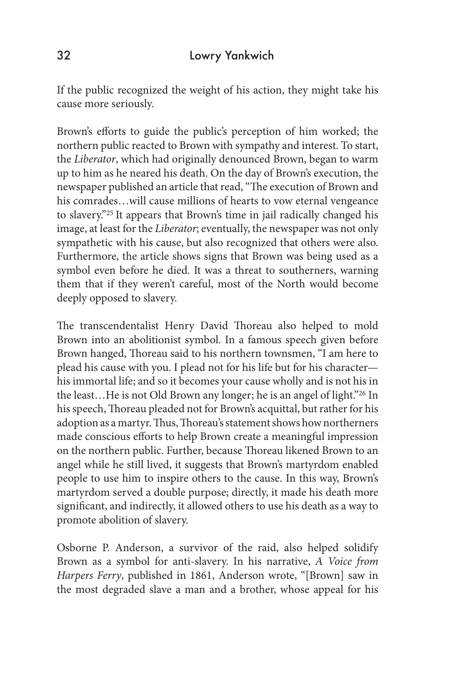If the public recognized the weight of his action, they might take his cause more seriously.

Brown's efforts to guide the public's perception of him worked; the northern public reacted to Brown with sympathy and interest. To start, the *Liberator*, which had originally denounced Brown, began to warm up to him as he neared his death. On the day of Brown's execution, the newspaper published an article that read, "The execution of Brown and his comrades... will cause millions of hearts to vow eternal vengeance to slavery."25 It appears that Brown's time in jail radically changed his image, at least for the *Liberator*; eventually, the newspaper was not only sympathetic with his cause, but also recognized that others were also. Furthermore, the article shows signs that Brown was being used as a symbol even before he died. It was a threat to southerners, warning them that if they weren't careful, most of the North would become deeply opposed to slavery.

The transcendentalist Henry David Thoreau also helped to mold Brown into an abolitionist symbol. In a famous speech given before Brown hanged, Thoreau said to his northern townsmen, "I am here to plead his cause with you. I plead not for his life but for his character his immortal life; and so it becomes your cause wholly and is not his in the least…He is not Old Brown any longer; he is an angel of light."26 In his speech, Thoreau pleaded not for Brown's acquittal, but rather for his adoption as a martyr. Thus, Thoreau's statement shows how northerners made conscious efforts to help Brown create a meaningful impression on the northern public. Further, because Thoreau likened Brown to an angel while he still lived, it suggests that Brown's martyrdom enabled people to use him to inspire others to the cause. In this way, Brown's martyrdom served a double purpose; directly, it made his death more significant, and indirectly, it allowed others to use his death as a way to promote abolition of slavery.

Osborne P. Anderson, a survivor of the raid, also helped solidify Brown as a symbol for anti-slavery. In his narrative, *A Voice from Harpers Ferry*, published in 1861, Anderson wrote, "[Brown] saw in the most degraded slave a man and a brother, whose appeal for his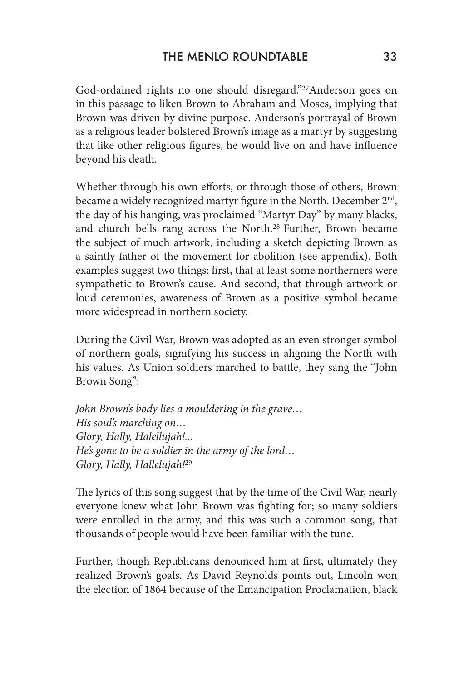God-ordained rights no one should disregard."27Anderson goes on in this passage to liken Brown to Abraham and Moses, implying that Brown was driven by divine purpose. Anderson's portrayal of Brown as a religious leader bolstered Brown's image as a martyr by suggesting that like other religious figures, he would live on and have influence beyond his death.

Whether through his own efforts, or through those of others, Brown became a widely recognized martyr figure in the North. December  $2<sup>nd</sup>$ , the day of his hanging, was proclaimed "Martyr Day" by many blacks, and church bells rang across the North.28 Further, Brown became the subject of much artwork, including a sketch depicting Brown as a saintly father of the movement for abolition (see appendix). Both examples suggest two things: first, that at least some northerners were sympathetic to Brown's cause. And second, that through artwork or loud ceremonies, awareness of Brown as a positive symbol became more widespread in northern society.

During the Civil War, Brown was adopted as an even stronger symbol of northern goals, signifying his success in aligning the North with his values. As Union soldiers marched to battle, they sang the "John Brown Song":

*John Brown's body lies a mouldering in the grave… His soul's marching on… Glory, Hally, Halellujah!... He's gone to be a soldier in the army of the lord… Glory, Hally, Hallelujah!*<sup>29</sup>

The lyrics of this song suggest that by the time of the Civil War, nearly everyone knew what John Brown was fighting for; so many soldiers were enrolled in the army, and this was such a common song, that thousands of people would have been familiar with the tune.

Further, though Republicans denounced him at first, ultimately they realized Brown's goals. As David Reynolds points out, Lincoln won the election of 1864 because of the Emancipation Proclamation, black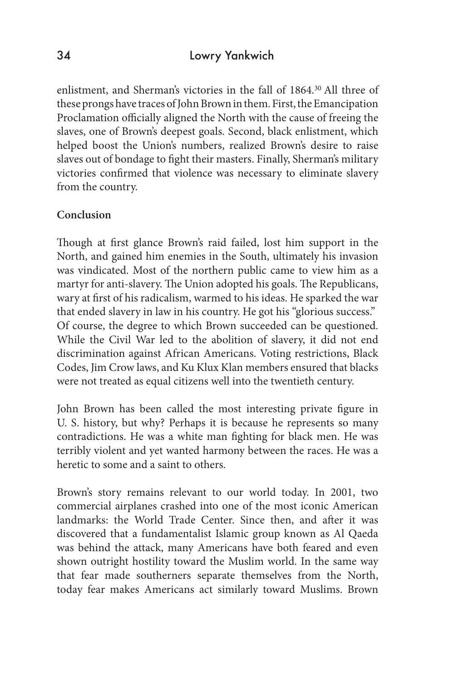enlistment, and Sherman's victories in the fall of 1864.<sup>30</sup> All three of these prongs have traces of John Brown in them. First, the Emancipation Proclamation officially aligned the North with the cause of freeing the slaves, one of Brown's deepest goals. Second, black enlistment, which helped boost the Union's numbers, realized Brown's desire to raise slaves out of bondage to fight their masters. Finally, Sherman's military victories confirmed that violence was necessary to eliminate slavery from the country.

#### **Conclusion**

Though at first glance Brown's raid failed, lost him support in the North, and gained him enemies in the South, ultimately his invasion was vindicated. Most of the northern public came to view him as a martyr for anti-slavery. The Union adopted his goals. The Republicans, wary at first of his radicalism, warmed to his ideas. He sparked the war that ended slavery in law in his country. He got his "glorious success." Of course, the degree to which Brown succeeded can be questioned. While the Civil War led to the abolition of slavery, it did not end discrimination against African Americans. Voting restrictions, Black Codes, Jim Crow laws, and Ku Klux Klan members ensured that blacks were not treated as equal citizens well into the twentieth century.

John Brown has been called the most interesting private figure in U. S. history, but why? Perhaps it is because he represents so many contradictions. He was a white man fighting for black men. He was terribly violent and yet wanted harmony between the races. He was a heretic to some and a saint to others.

Brown's story remains relevant to our world today. In 2001, two commercial airplanes crashed into one of the most iconic American landmarks: the World Trade Center. Since then, and after it was discovered that a fundamentalist Islamic group known as Al Qaeda was behind the attack, many Americans have both feared and even shown outright hostility toward the Muslim world. In the same way that fear made southerners separate themselves from the North, today fear makes Americans act similarly toward Muslims. Brown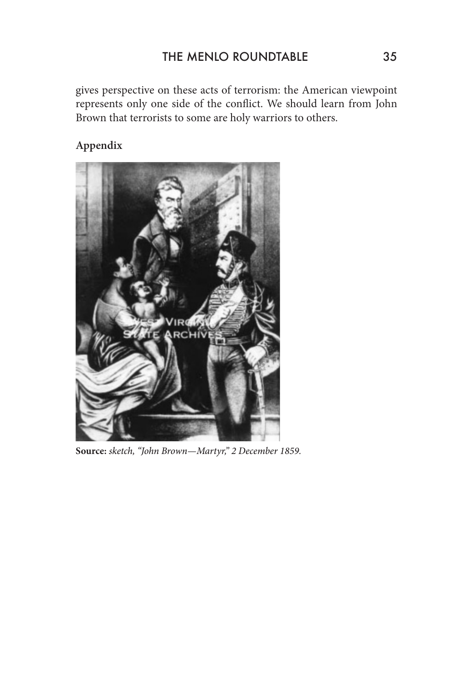gives perspective on these acts of terrorism: the American viewpoint represents only one side of the conflict. We should learn from John Brown that terrorists to some are holy warriors to others.

## **Appendix**



**Source:** *sketch, "John Brown—Martyr," 2 December 1859.*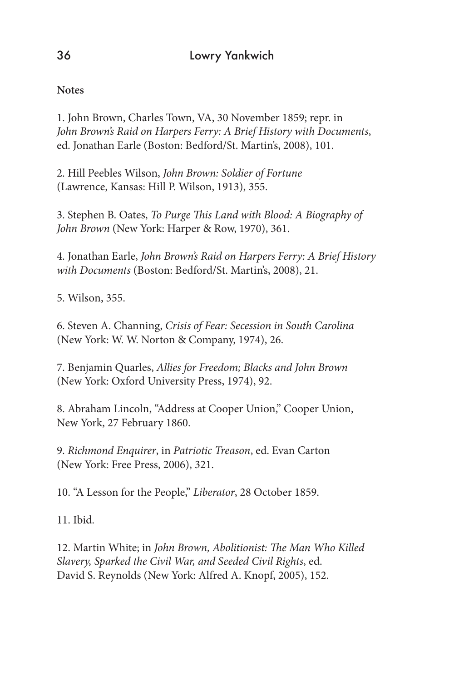**Notes**

1. John Brown, Charles Town, VA, 30 November 1859; repr. in *John Brown's Raid on Harpers Ferry: A Brief History with Documents*, ed. Jonathan Earle (Boston: Bedford/St. Martin's, 2008), 101.

2. Hill Peebles Wilson, *John Brown: Soldier of Fortune* (Lawrence, Kansas: Hill P. Wilson, 1913), 355.

3. Stephen B. Oates, *To Purge This Land with Blood: A Biography of John Brown* (New York: Harper & Row, 1970), 361.

4. Jonathan Earle, *John Brown's Raid on Harpers Ferry: A Brief History with Documents* (Boston: Bedford/St. Martin's, 2008), 21.

5. Wilson, 355.

6. Steven A. Channing, *Crisis of Fear: Secession in South Carolina* (New York: W. W. Norton & Company, 1974), 26.

7. Benjamin Quarles, *Allies for Freedom; Blacks and John Brown* (New York: Oxford University Press, 1974), 92.

8. Abraham Lincoln, "Address at Cooper Union," Cooper Union, New York, 27 February 1860.

9. *Richmond Enquirer*, in *Patriotic Treason*, ed. Evan Carton (New York: Free Press, 2006), 321.

10. "A Lesson for the People," *Liberator*, 28 October 1859.

11. Ibid.

12. Martin White; in *John Brown, Abolitionist: The Man Who Killed Slavery, Sparked the Civil War, and Seeded Civil Rights*, ed. David S. Reynolds (New York: Alfred A. Knopf, 2005), 152.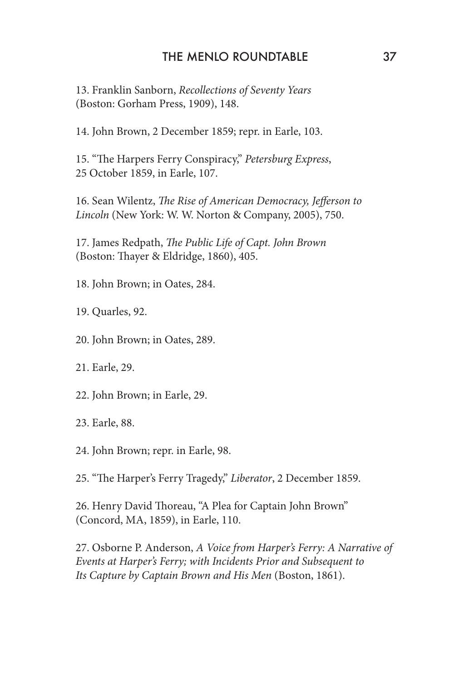13. Franklin Sanborn, *Recollections of Seventy Years* (Boston: Gorham Press, 1909), 148.

14. John Brown, 2 December 1859; repr. in Earle, 103.

15. "The Harpers Ferry Conspiracy," *Petersburg Express*, 25 October 1859, in Earle, 107.

16. Sean Wilentz, *The Rise of American Democracy, Jefferson to Lincoln* (New York: W. W. Norton & Company, 2005), 750.

17. James Redpath, *The Public Life of Capt. John Brown* (Boston: Thayer & Eldridge, 1860), 405.

18. John Brown; in Oates, 284.

19. Quarles, 92.

20. John Brown; in Oates, 289.

21. Earle, 29.

22. John Brown; in Earle, 29.

23. Earle, 88.

24. John Brown; repr. in Earle, 98.

25. "The Harper's Ferry Tragedy," *Liberator*, 2 December 1859.

26. Henry David Thoreau, "A Plea for Captain John Brown" (Concord, MA, 1859), in Earle, 110.

27. Osborne P. Anderson, *A Voice from Harper's Ferry: A Narrative of Events at Harper's Ferry; with Incidents Prior and Subsequent to Its Capture by Captain Brown and His Men* (Boston, 1861).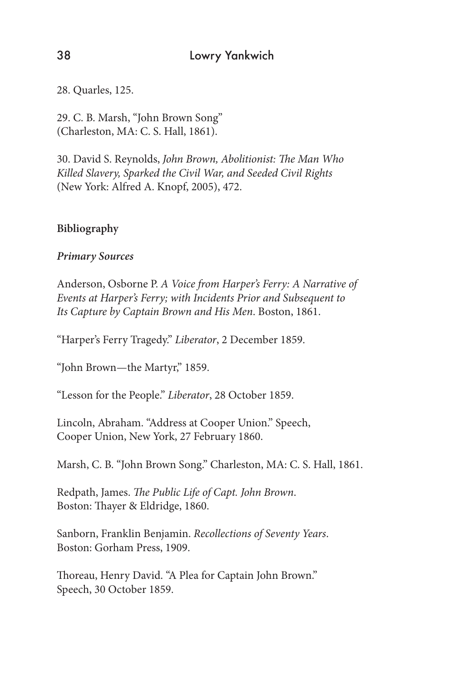28. Quarles, 125.

29. C. B. Marsh, "John Brown Song" (Charleston, MA: C. S. Hall, 1861).

30. David S. Reynolds, *John Brown, Abolitionist: The Man Who Killed Slavery, Sparked the Civil War, and Seeded Civil Rights* (New York: Alfred A. Knopf, 2005), 472.

### **Bibliography**

### *Primary Sources*

Anderson, Osborne P. *A Voice from Harper's Ferry: A Narrative of Events at Harper's Ferry; with Incidents Prior and Subsequent to Its Capture by Captain Brown and His Men*. Boston, 1861.

"Harper's Ferry Tragedy." *Liberator*, 2 December 1859.

"John Brown—the Martyr," 1859.

"Lesson for the People." *Liberator*, 28 October 1859.

Lincoln, Abraham. "Address at Cooper Union." Speech, Cooper Union, New York, 27 February 1860.

Marsh, C. B. "John Brown Song." Charleston, MA: C. S. Hall, 1861.

Redpath, James. *The Public Life of Capt. John Brown*. Boston: Thayer & Eldridge, 1860.

Sanborn, Franklin Benjamin. *Recollections of Seventy Years*. Boston: Gorham Press, 1909.

Thoreau, Henry David. "A Plea for Captain John Brown." Speech, 30 October 1859.